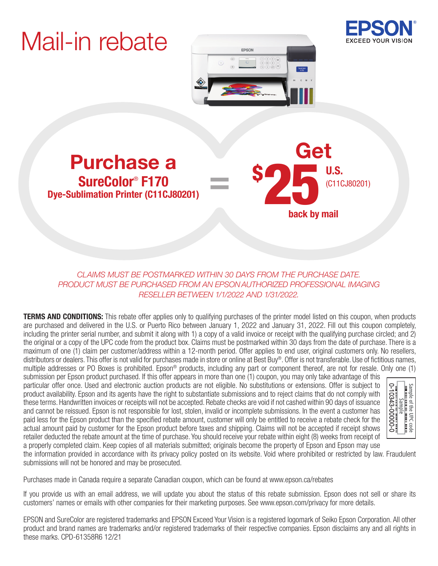# Mail-in rebate





Purchase a U.S. Cet SureColor® F170 Dye-Sublimation Printer (C11CJ80201)

back by mail (C11CJ80201) \$ 25

# *CLAIMS MUST BE POSTMARKED WITHIN 30 DAYS FROM THE PURCHASE DATE. PRODUCT MUST BE PURCHASED FROM AN EPSON AUTHORIZED PROFESSIONAL IMAGING RESELLER BETWEEN 1/1/2022 AND 1/31/2022.*

=

**TERMS AND CONDITIONS:** This rebate offer applies only to qualifying purchases of the printer model listed on this coupon, when products are purchased and delivered in the U.S. or Puerto Rico between January 1, 2022 and January 31, 2022. Fill out this coupon completely, including the printer serial number, and submit it along with 1) a copy of a valid invoice or receipt with the qualifying purchase circled; and 2) the original or a copy of the UPC code from the product box. Claims must be postmarked within 30 days from the date of purchase. There is a maximum of one (1) claim per customer/address within a 12-month period. Offer applies to end user, original customers only. No resellers, distributors or dealers. This offer is not valid for purchases made in store or online at Best Buy®. Offer is not transferable. Use of fictitious names, multiple addresses or PO Boxes is prohibited. Epson® products, including any part or component thereof, are not for resale. Only one (1)

submission per Epson product purchased. If this offer appears in more than one (1) coupon, you may only take advantage of this particular offer once. Used and electronic auction products are not eligible. No substitutions or extensions. Offer is subject to product availability. Epson and its agents have the right to substantiate submissions and to reject claims that do not comply with these terms. Handwritten invoices or receipts will not be accepted. Rebate checks are void if not cashed within 90 days of issuance and cannot be reissued. Epson is not responsible for lost, stolen, invalid or incomplete submissions. In the event a customer has paid less for the Epson product than the specified rebate amount, customer will only be entitled to receive a rebate check for the actual amount paid by customer for the Epson product before taxes and shipping. Claims will not be accepted if receipt shows retailer deducted the rebate amount at the time of purchase. You should receive your rebate within eight (8) weeks from receipt of a properly completed claim. Keep copies of all materials submitted; originals become the property of Epson and Epson may use



the information provided in accordance with its privacy policy posted on its website. Void where prohibited or restricted by law. Fraudulent submissions will not be honored and may be prosecuted.

Purchases made in Canada require a separate Canadian coupon, which can be found at www.epson.ca/rebates

If you provide us with an email address, we will update you about the status of this rebate submission. Epson does not sell or share its customers' names or emails with other companies for their marketing purposes. See www.epson.com/privacy for more details.

EPSON and SureColor are registered trademarks and EPSON Exceed Your Vision is a registered logomark of Seiko Epson Corporation. All other product and brand names are trademarks and/or registered trademarks of their respective companies. Epson disclaims any and all rights in these marks. CPD-61358R6 12/21